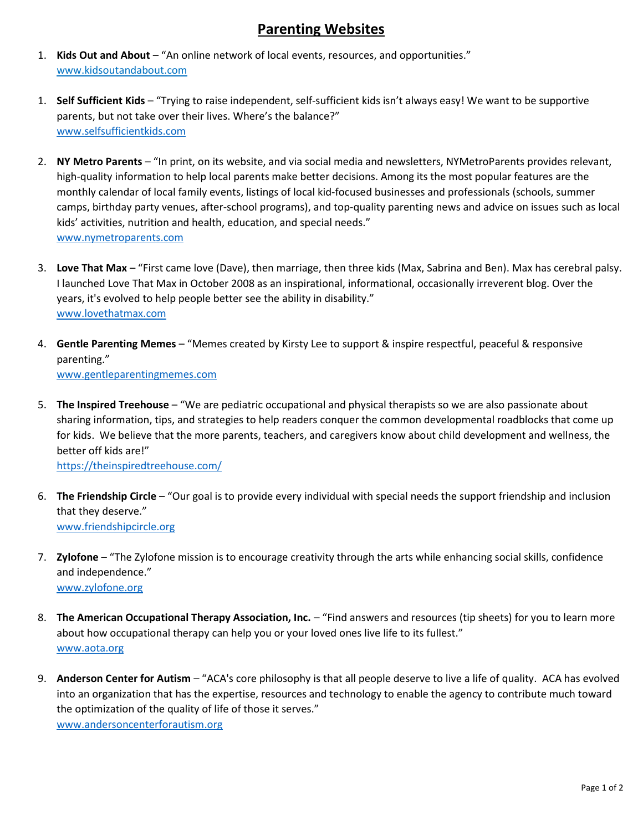## Parenting Websites

- 1. Kids Out and About "An online network of local events, resources, and opportunities." www.kidsoutandabout.com
- 1. Self Sufficient Kids "Trying to raise independent, self-sufficient kids isn't always easy! We want to be supportive parents, but not take over their lives. Where's the balance?" www.selfsufficientkids.com
- 2. NY Metro Parents "In print, on its website, and via social media and newsletters, NYMetroParents provides relevant, high-quality information to help local parents make better decisions. Among its the most popular features are the monthly calendar of local family events, listings of local kid-focused businesses and professionals (schools, summer camps, birthday party venues, after-school programs), and top-quality parenting news and advice on issues such as local kids' activities, nutrition and health, education, and special needs." www.nymetroparents.com
- 3. Love That Max "First came love (Dave), then marriage, then three kids (Max, Sabrina and Ben). Max has cerebral palsy. I launched Love That Max in October 2008 as an inspirational, informational, occasionally irreverent blog. Over the years, it's evolved to help people better see the ability in disability." www.lovethatmax.com
- 4. Gentle Parenting Memes "Memes created by Kirsty Lee to support & inspire respectful, peaceful & responsive parenting." www.gentleparentingmemes.com
- 5. The Inspired Treehouse "We are pediatric occupational and physical therapists so we are also passionate about sharing information, tips, and strategies to help readers conquer the common developmental roadblocks that come up for kids. We believe that the more parents, teachers, and caregivers know about child development and wellness, the better off kids are!" https://theinspiredtreehouse.com/
- 6. The Friendship Circle "Our goal is to provide every individual with special needs the support friendship and inclusion that they deserve." www.friendshipcircle.org
- 7. Zylofone "The Zylofone mission is to encourage creativity through the arts while enhancing social skills, confidence and independence." www.zylofone.org
- 8. The American Occupational Therapy Association, Inc. "Find answers and resources (tip sheets) for you to learn more about how occupational therapy can help you or your loved ones live life to its fullest." www.aota.org
- 9. Anderson Center for Autism "ACA's core philosophy is that all people deserve to live a life of quality. ACA has evolved into an organization that has the expertise, resources and technology to enable the agency to contribute much toward the optimization of the quality of life of those it serves." www.andersoncenterforautism.org